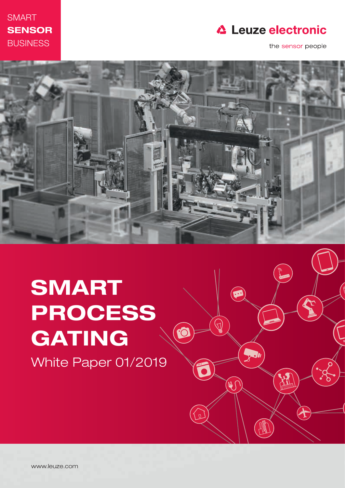

### **△ Leuze electronic**

 $\circledbullet$ 

 $\frac{1}{2}$ 

 $\bigodot$ 

FO

 $\mathcal{L}$ 

the sensor people



# SMART PROCESS GATING

White Paper 01/2019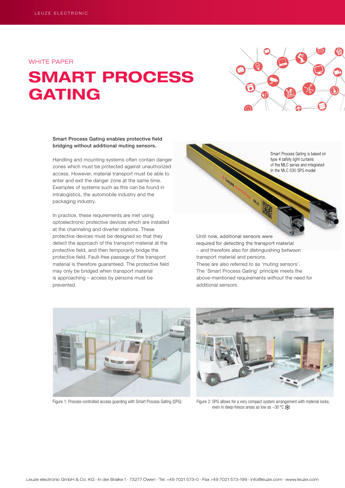WHITE PAPER

## SMART PROCESS GATING



#### Smart Process Gating enables protective field bridging without additional muting sensors.

Handling and mounting systems often contain danger zones which must be protected against unauthorized access. However, material transport must be able to enter and exit the danger zone at the same time. Examples of systems such as this can be found in intralogistics, the automobile industry and the packaging industry.

In practice, these requirements are met using optoelectronic protective devices which are installed at the channeling and diverter stations. These protective devices must be designed so that they detect the approach of the transport material at the protective field, and then temporarily bridge the protective field. Fault-free passage of the transport material is therefore guaranteed. The protective field may only be bridged when transport material is approaching – access by persons must be prevented.

Smart Process Gating is based on type 4 safety light curtains of the MLC series and integrated in the MLC 530 SPG model

Until now, additional sensors were required for detecting the transport material – and therefore also for distinguishing between transport material and persons. These are also referred to as 'muting sensors'.

The 'Smart Process Gating' principle meets the above-mentioned requirements without the need for additional sensors.





Figure 1: Process-controlled access guarding with Smart Process Gating (SPG) Figure 2: SPG allows for a very compact system arrangement with material locks, even in deep-freeze areas as low as -30 °C :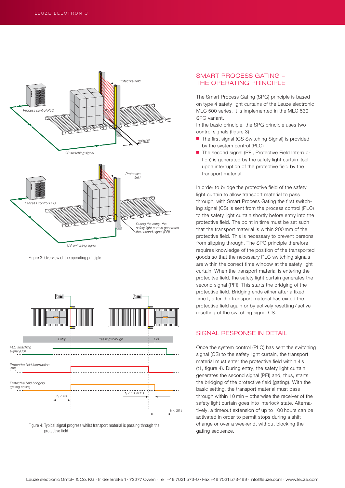

Figure 3: Overview of the operating principle



Figure 4: Typical signal progress whilst transport material is passing through the protective field

#### SMART PROCESS GATING – THE OPERATING PRINCIPLE

The Smart Process Gating (SPG) principle is based on type 4 safety light curtains of the Leuze electronic MLC 500 series. It is implemented in the MLC 530 SPG variant.

In the basic principle, the SPG principle uses two control signals (figure 3):

- The first signal (CS Switching Signal) is provided by the system control (PLC)
- The second signal (PFI, Protective Field Interruption) is generated by the safety light curtain itself upon interruption of the protective field by the transport material.

In order to bridge the protective field of the safety light curtain to allow transport material to pass through, with Smart Process Gating the first switching signal (CS) is sent from the process control (PLC) to the safety light curtain shortly before entry into the protective field. The point in time must be set such that the transport material is within 200 mm of the protective field. This is necessary to prevent persons from slipping through. The SPG principle therefore requires knowledge of the position of the transported goods so that the necessary PLC switching signals are within the correct time window at the safety light curtain. When the transport material is entering the protecitve field, the safety light curtain generates the second signal (PFI). This starts the bridging of the protective field. Bridging ends either after a fixed time t, after the transport material has exited the protective field again or by actively resetting / active resetting of the switching signal CS.

#### SIGNAL RESPONSE IN DETAIL

Once the system control (PLC) has sent the switching signal (CS) to the safety light curtain, the transport material must enter the protective field within 4 s (t1, figure 4). During entry, the safety light curtain generates the second signal (PFI) and, thus, starts the bridging of the protective field (gating). With the basic setting, the transport material must pass through within 10 min – otherwise the receiver of the safety light curtain goes into interlock state. Alternatively, a timeout extension of up to 100 hours can be activated in order to permit stops during a shift change or over a weekend, without blocking the gating sequenze.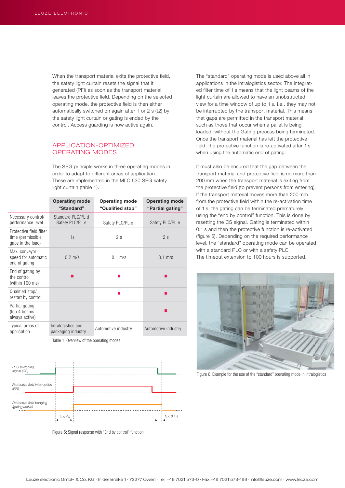When the transport material exits the protective field. the safety light curtain resets the signal that it generated (PFI) as soon as the transport material leaves the protective field. Depending on the selected operating mode, the protective field is then either automatically switched on again after 1 or 2 s (t2) by the safety light curtain or gating is ended by the control. Access guarding is now active again.

#### APPLICATION-OPTIMIZED OPERATING MODES

The SPG principle works in three operating modes in order to adapt to different areas of application. These are implemented in the MLC 530 SPG safety light curtain (table 1).

|                                                                    | <b>Operating mode</b><br>"Standard"      | <b>Operating mode</b><br>"Qualified stop" | <b>Operating mode</b><br>"Partial gating" |
|--------------------------------------------------------------------|------------------------------------------|-------------------------------------------|-------------------------------------------|
| Necessary control/<br>performance level                            | Standard PLC/PL d<br>Safety PLC/PL e     | Safety PLC/PL e                           | Safety PLC/PL e                           |
| Protective field filter<br>time (permissible)<br>gaps in the load) | 1s                                       | 2s                                        | 2s                                        |
| Max. conveyor<br>speed for automatic<br>end of gating              | $0.2$ m/s                                | $0.1$ m/s                                 | $0.1$ m/s                                 |
| End of gating by<br>the control<br>(within 100 ms)                 |                                          |                                           |                                           |
| Qualified stop/<br>restart by control                              |                                          |                                           |                                           |
| Partial gating<br>(top 4 beams)<br>always active)                  |                                          |                                           |                                           |
| Typical areas of<br>application                                    | Intralogistics and<br>packaging industry | Automotive industry                       | Automotive industry                       |

Table 1: Overview of the operating modes



Figure 5: Signal response with "End by control" function

The "standard" operating mode is used above all in applications in the intralogistics sector. The integrated filter time of 1 s means that the light beams of the light curtain are allowed to have an unobstructed view for a time window of up to 1 s, i.e., they may not be interrupted by the transport material. This means that gaps are permitted in the transport material, such as those that occur when a pallet is being loaded, without the Gating process being terminated. Once the transport material has left the protective field, the protective function is re-activated after 1 s when using the automatic end of gating.

It must also be ensured that the gap between the transport material and protective field is no more than 200 mm when the transport material is exiting from the protective field (to prevent persons from entering). If the transport material moves more than 200 mm from the protective field within the re-activation time of 1 s, the gating can be terminated prematurely using the "end by control" function. This is done by resetting the CS signal. Gating is terminated within 0.1 s and then the protective function is re-activated (figure 5). Depending on the required performance level, the "standard" operating mode can be operated with a standard PLC or with a safety PLC. The timeout extension to 100 hours is supported.



Figure 6: Example for the use of the "standard" operating mode in intralogistics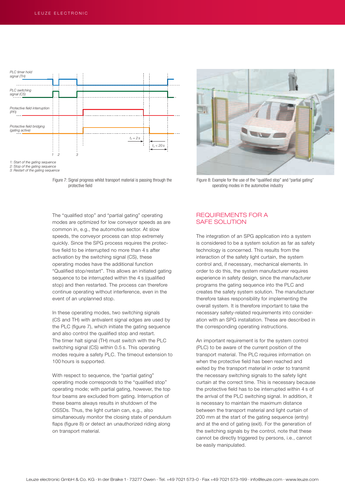

2: Stop of the gating sequence 3: Restart of the gating sequence

Figure 7: Signal progress whilst transport material is passing through the protective field

The "qualified stop" and "partial gating" operating modes are optimized for low conveyor speeds as are common in, e.g., the automotive sector. At slow speeds, the conveyor process can stop extremely quickly. Since the SPG process requires the protective field to be interrupted no more than 4 s after activation by the switching signal (CS), these operating modes have the additional function "Qualified stop/restart". This allows an initiated gating sequence to be interrupted within the 4 s (qualified stop) and then restarted. The process can therefore continue operating without interference, even in the event of an unplanned stop.

In these operating modes, two switching signals (CS and TH) with antivalent signal edges are used by the PLC (figure 7), which initiate the gating sequence and also control the qualified stop and restart. The timer halt signal (TH) must switch with the PLC switching signal (CS) within 0.5 s. This operating modes require a safety PLC. The timeout extension to 100 hours is supported.

With respect to sequence, the "partial gating" operating mode corresponds to the "qualified stop" operating mode; with partial gating, however, the top four beams are excluded from gating. Interruption of these beams always results in shutdown of the OSSDs. Thus, the light curtain can, e.g., also simultaneously monitor the closing state of pendulum flaps (figure 8) or detect an unauthorized riding along on transport material.



Figure 8: Example for the use of the "qualified stop" and "partial gating" operating modes in the automotive industry

#### REQUIREMENTS FOR A SAFE SOLUTION

The integration of an SPG application into a system is considered to be a system solution as far as safety technology is concerned. This results from the interaction of the safety light curtain, the system control and, if necessary, mechanical elements. In order to do this, the system manufacturer requires experience in safety design, since the manufacturer programs the gating sequence into the PLC and creates the safety system solution. The manufacturer therefore takes responsibility for implementing the overall system. It is therefore important to take the necessary safety-related requirements into consideration with an SPG installation. These are described in the corresponding operating instructions.

An important requirement is for the system control (PLC) to be aware of the current position of the transport material. The PLC requires information on when the protective field has been reached and exited by the transport material in order to transmit the necessary switching signals to the safety light curtain at the correct time. This is necessary because the protective field has to be interrupted within 4 s of the arrival of the PLC switching signal. In addition, it is necessary to maintain the maximum distance between the transport material and light curtain of 200 mm at the start of the gating sequence (entry) and at the end of gating (exit). For the generation of the switching signals by the control, note that these cannot be directly triggered by persons, i.e., cannot be easily manipulated.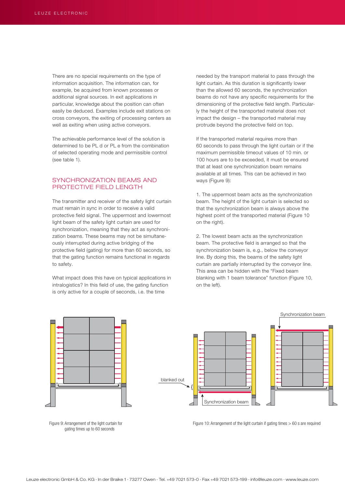There are no special requirements on the type of information acquisition. The information can, for example, be acquired from known processes or additional signal sources. In exit applications in particular, knowledge about the position can often easily be deduced. Examples include exit stations on cross conveyors, the exiting of processing centers as well as exiting when using active conveyors.

The achievable performance level of the solution is determined to be PL d or PL e from the combination of selected operating mode and permissible control (see table 1).

#### SYNCHRONIZATION BEAMS AND PROTECTIVE FIELD LENGTH

The transmitter and receiver of the safety light curtain must remain in sync in order to receive a valid protective field signal. The uppermost and lowermost light beam of the safety light curtain are used for synchronization, meaning that they act as synchronization beams. These beams may not be simultaneously interrupted during active bridging of the protective field (gating) for more than 60 seconds, so that the gating function remains functional in regards to safety.

What impact does this have on typical applications in intralogistics? In this field of use, the gating function is only active for a couple of seconds, i.e. the time



Figure 9: Arrangement of the light curtain for gating times up to 60 seconds

needed by the transport material to pass through the light curtain. As this duration is significantly lower than the allowed 60 seconds, the synchronization beams do not have any specific requirements for the dimensioning of the protective field length. Particularly the height of the transported material does not impact the design – the transported material may protrude beyond the protective field on top.

If the transported material requires more than 60 seconds to pass through the light curtain or if the maximum permissible timeout values of 10 min. or 100 hours are to be exceeded, it must be ensured that at least one synchronization beam remains available at all times. This can be achieved in two ways (Figure 9):

1. The uppermost beam acts as the synchronization beam. The height of the light curtain is selected so that the synchronization beam is always above the highest point of the transported material (Figure 10 on the right).

2. The lowest beam acts as the synchronization beam. The protective field is arranged so that the synchronization beam is, e.g., below the conveyor line. By doing this, the beams of the safety light curtain are partially interrupted by the conveyor line. This area can be hidden with the "Fixed beam blanking with 1 beam tolerance" function (Figure 10, on the left).



Figure 10: Arrangement of the light curtain if gating times  $> 60$  s are required